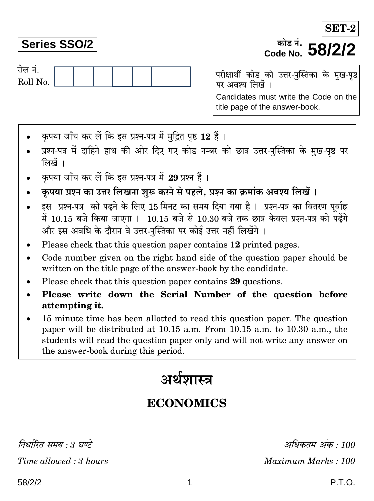# **Series SSO/2**

रोल नं.

परीक्षार्थी कोड को उत्तर-पुस्तिका के मुख-पृष्ठ पर अवश्य लिखें ।

Candidates must write the Code on the title page of the answer-book.

क्रोट नं

Code No. 58/2/2

- कपया जाँच कर लें कि इस प्रश्न-पत्र में मुद्रित पृष्ठ 12 हैं।
- प्रश्न-पत्र में दाहिने हाथ की ओर दिए गए कोड नम्बर को छात्र उत्तर-पुस्तिका के मुख-पृष्ठ पर लिखें ।
- कपया जाँच कर लें कि इस प्रश्न-पत्र में 29 प्रश्न हैं।
- कृपया प्रश्न का उत्तर लिखना शुरू करने से पहले, प्रश्न का क्रमांक अवश्य लिखें ।
- इस प्रश्न-पत्र को पढ़ने के लिए 15 मिनट का समय दिया गया है। प्रश्न-पत्र का वितरण पर्वाह्न में 10.15 बजे किया जाएगा । 10.15 बजे से 10.30 बजे तक छात्र केवल प्रश्न-पत्र को पढ़ेंगे और इस अवधि के दौरान वे उत्तर-पस्तिका पर कोई उत्तर नहीं लिखेंगे ।
- Please check that this question paper contains 12 printed pages.
- Code number given on the right hand side of the question paper should be  $\bullet$ written on the title page of the answer-book by the candidate.
- Please check that this question paper contains 29 questions.
- Please write down the Serial Number of the question before attempting it.
- 15 minute time has been allotted to read this question paper. The question paper will be distributed at 10.15 a.m. From 10.15 a.m. to 10.30 a.m., the students will read the question paper only and will not write any answer on the answer-book during this period.

# अर्थशास्त्र

# **ECONOMICS**

1

निर्धारित समय : 3 घण्टे Time allowed: 3 hours

अधिकतम अंक : 100 Maximum Marks: 100

## P.T.O.

SET-2

Roll No.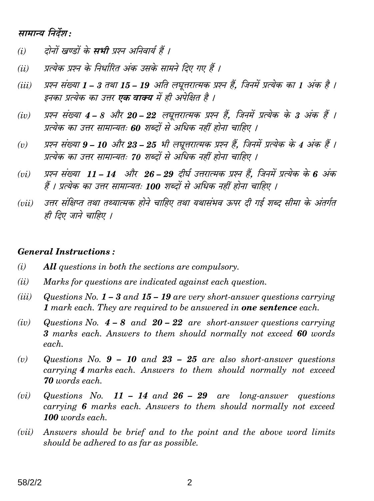### सामान्य निर्देश:

- दोनों खण्डों के **सभी** प्रश्न अनिवार्य हैं ।  $(i)$
- प्रत्येक प्रश्न के निर्धारित अंक उसके सामने दिए गए हैं ।  $(ii)$
- प्रश्न संख्या 1 3 तथा 15 19 अति लघूत्तरात्मक प्रश्न हैं. जिनमें प्रत्येक का 1 अंक है ।  $(iii)$ इनका प्रत्येक का उत्तर **एक वाक्य** में ही अपेक्षित है ।
- प्रश्न संख्या 4 8 और 20 22 लघुत्तरात्मक प्रश्न हैं, जिनमें प्रत्येक के 3 अंक हैं ।  $(iv)$ प्रत्येक का उत्तर सामान्यतः 60 शब्दों से अधिक नहीं होना चाहिए ।
- प्रश्न संख्या 9 10 और 23 25 भी लघूत्तरात्मक प्रश्न हैं, जिनमें प्रत्येक के 4 अंक हैं ।  $(v)$ प्रत्येक का उत्तर सामान्यतः 70 शब्दों से अधिक नहीं होना चाहिए ।
- प्रश्न संख्या 11 14 और 26 29 दीर्घ उत्तरात्मक प्रश्न हैं, जिनमें प्रत्येक के 6 अंक  $(vi)$ हैं । प्रत्येक का उत्तर सामान्यतः 100 शब्दों से अधिक नहीं होना चाहिए ।
- उत्तर संक्षिप्त तथा तथ्यात्मक होने चाहिए तथा यथासंभव ऊपर दी गई शब्द सीमा के अंतर्गत  $(iii)$ ही दिए जाने चाहिए ।

#### **General Instructions:**

- $(i)$ **All** questions in both the sections are compulsory.
- $(ii)$ Marks for questions are indicated against each question.
- $(iii)$ Questions No.  $1-3$  and  $15-19$  are very short-answer questions carrying 1 mark each. They are required to be answered in **one sentence** each.
- $(iv)$ Questions No.  $4-8$  and  $20-22$  are short-answer questions carrying 3 marks each. Answers to them should normally not exceed 60 words each.
- Questions No.  $9 10$  and  $23 25$  are also short-answer questions  $(v)$ carrying 4 marks each. Answers to them should normally not exceed **70** words each.
- $(vi)$ Questions No.  $11 - 14$  and  $26 - 29$  are long-answer questions carrying 6 marks each. Answers to them should normally not exceed 100 words each.
- Answers should be brief and to the point and the above word limits  $(vii)$ should be adhered to as far as possible.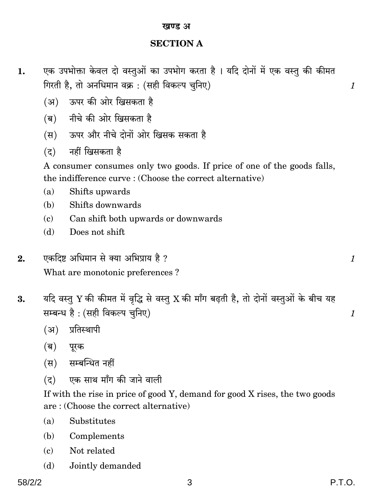#### खण्ड अ

#### **SECTION A**

- एक उपभोक्ता केवल दो वस्तुओं का उपभोग करता है। यदि दोनों में एक वस्तु की कीमत 1. गिरती है. तो अनधिमान वक्र : (सही विकल्प चनिए)
	- (अ) ऊपर की ओर खिसकता है
	- (ब) नीचे की ओर खिसकता है
	- (स) ऊपर और नीचे दोनों ओर खिसक सकता है
	- (द) नहीं खिसकता है

A consumer consumes only two goods. If price of one of the goods falls, the indifference curve: (Choose the correct alternative)

- Shifts upwards  $(a)$
- Shifts downwards  $(h)$
- Can shift both upwards or downwards  $(c)$
- Does not shift  $(h)$
- एकदिष्ट अधिमान से क्या अभिप्राय है ?  $2.$ What are monotonic preferences?
- यदि वस्तु Y की कीमत में वृद्धि से वस्तु X की माँग बढ़ती है, तो दोनों वस्तुओं के बीच यह 3. सम्बन्ध है : (सही विकल्प चुनिए)
	- (अ) प्रतिस्थापी
	- (ब) पूरक
	- (स) सम्बन्धित नहीं
	- (द) एक साथ माँग की जाने वाली

If with the rise in price of good Y, demand for good X rises, the two goods are: (Choose the correct alternative)

- $(a)$ Substitutes
- (b) Complements
- Not related  $\epsilon$
- $(d)$ Jointly demanded

 $\mathcal{I}_{\mathcal{L}}$ 

 $\mathcal{I}_{\mathcal{L}}$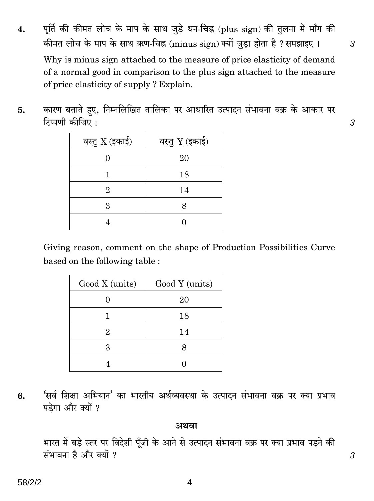पूर्ति की कीमत लोच के माप के साथ जुड़े धन-चिह्न (plus sign) की तुलना में माँग की 4. कीमत लोच के माप के साथ ऋण-चिह्न (minus sign) क्यों जड़ा होता है ? समझाइए ।

Why is minus sign attached to the measure of price elasticity of demand of a normal good in comparison to the plus sign attached to the measure of price elasticity of supply? Explain.

कारण बताते हए, निम्नलिखित तालिका पर आधारित उत्पादन संभावना वक्र के आकार पर 5. टिप्पणी कीजिए ·

| वस्तु $X$ (इकाई) | वस्तु Y (इकाई) |
|------------------|----------------|
|                  | 20             |
|                  | 18             |
| 2                | 14             |
| 3                |                |
|                  |                |

Giving reason, comment on the shape of Production Possibilities Curve based on the following table :

| Good X (units) | Good Y (units) |
|----------------|----------------|
|                | 20             |
|                | 18             |
| 2              | 14             |
| З              |                |
|                |                |

'सर्व शिक्षा अभियान' का भारतीय अर्थव्यवस्था के उत्पादन संभावना वक्र पर क्या प्रभाव 6. पड़ेगा और क्यों ?

#### अथवा

भारत में बड़े स्तर पर विदेशी पूँजी के आने से उत्पादन संभावना वक्र पर क्या प्रभाव पड़ने की संभावना है और क्यों ?

4

 $\mathfrak{Z}$ 

 $\mathfrak{Z}$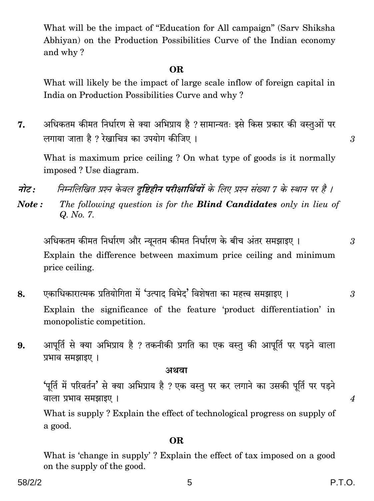What will be the impact of "Education for All campaign" (Sarv Shiksha Abhiyan) on the Production Possibilities Curve of the Indian economy and why?

#### **OR**

What will likely be the impact of large scale inflow of foreign capital in India on Production Possibilities Curve and why?

अधिकतम कीमत निर्धारण से क्या अभिप्राय है ? सामान्यतः इसे किस प्रकार की वस्तुओं पर 7. लगाया जाता है ? रेखाचित्र का उपयोग कीजिए ।

What is maximum price ceiling? On what type of goods is it normally imposed? Use diagram.

निम्नलिखित प्रश्न केवल दृष्टिहीन परीक्षार्थियों के लिए प्रश्न संख्या 7 के स्थान पर है । नोट :

The following question is for the **Blind Candidates** only in lieu of  $Note:$ Q. No. 7.

अधिकतम कीमत निर्धारण और न्युनतम कीमत निर्धारण के बीच अंतर समझाइए । Explain the difference between maximum price ceiling and minimum price ceiling.

- एकाधिकारात्मक प्रतियोगिता में 'उत्पाद विभेद' विशेषता का महत्त्व समझाइए । 8.  $\mathcal{S}$ Explain the significance of the feature 'product differentiation' in monopolistic competition.
- आपूर्ति से क्या अभिप्राय है ? तकनीकी प्रगति का एक वस्तु की आपूर्ति पर पड़ने वाला 9. प्रभाव समझाइए ।

#### अथवा

'पूर्ति में परिवर्तन' से क्या अभिप्राय है ? एक वस्तु पर कर लगाने का उसकी पूर्ति पर पड़ने वाला प्रभाव समझाइए।

What is supply? Explain the effect of technological progress on supply of a good.

### OR.

What is 'change in supply'? Explain the effect of tax imposed on a good on the supply of the good.

P.T.O.

 $\overline{4}$ 

3

 $\mathcal{S}$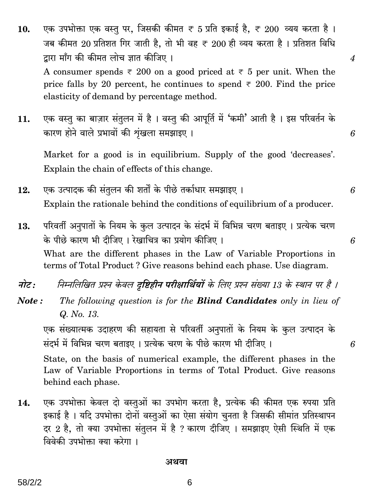- एक उपभोक्ता एक वस्तु पर, जिसकी कीमत ₹ 5 प्रति इकाई है, ₹ 200 व्यय करता है। 10. जब कीमत 20 प्रतिशत गिर जाती है, तो भी वह ₹ 200 ही व्यय करता है। प्रतिशत विधि द्वारा माँग की कीमत लोच ज्ञात कीजिए । A consumer spends  $\overline{\tau}$  200 on a good priced at  $\overline{\tau}$  5 per unit. When the price falls by 20 percent, he continues to spend  $\overline{\tau}$  200. Find the price elasticity of demand by percentage method.
- एक वस्तु का बाज़ार संतुलन में है। वस्तु की आपूर्ति में 'कमी' आती है। इस परिवर्तन के 11. कारण होने वाले प्रभावों की शृंखला समझाइए।

Market for a good is in equilibrium. Supply of the good 'decreases'. Explain the chain of effects of this change.

- एक उत्पादक की संतुलन की शर्तों के पीछे तर्काधार समझाइए । 12. Explain the rationale behind the conditions of equilibrium of a producer.
- परिवर्ती अनुपातों के नियम के कुल उत्पादन के संदर्भ में विभिन्न चरण बताइए । प्रत्येक चरण 13. के पीछे कारण भी दीजिए। रेखाचित्र का प्रयोग कीजिए। What are the different phases in the Law of Variable Proportions in terms of Total Product? Give reasons behind each phase. Use diagram.
- निम्नलिखित प्रश्न केवल दृष्टिहीन परीक्षार्थियों के लिए प्रश्न संख्या 13 के स्थान पर है । नोट:
- Note: The following question is for the **Blind Candidates** only in lieu of Q. No. 13.

एक संख्यात्मक उदाहरण की सहायता से परिवर्ती अनुपातों के नियम के कुल उत्पादन के संदर्भ में विभिन्न चरण बताइए। प्रत्येक चरण के पीछे कारण भी दीजिए।

State, on the basis of numerical example, the different phases in the Law of Variable Proportions in terms of Total Product. Give reasons behind each phase.

एक उपभोक्ता केवल दो वस्तुओं का उपभोग करता है, प्रत्येक की कीमत एक रुपया प्रति 14. इकाई है। यदि उपभोक्ता दोनों वस्तुओं का ऐसा संयोग चुनता है जिसकी सीमांत प्रतिस्थापन दर 2 है, तो क्या उपभोक्ता संतुलन में है ? कारण दीजिए । समझाइए ऐसी स्थिति में एक विवेकी उपभोक्ता क्या करेगा ।

अथवा

6

6

 $\overline{4}$ 

6

6

6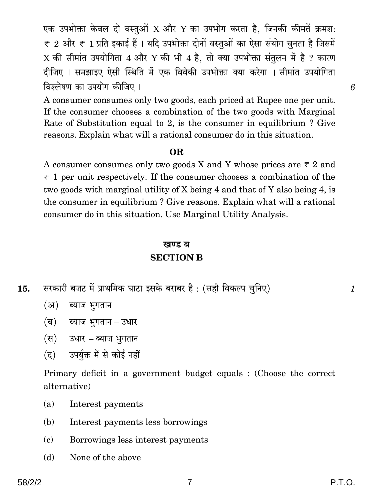एक उपभोक्ता केवल दो वस्तुओं X और Y का उपभोग करता है, जिनकी कीमतें क्रमश:  $\overline{\tau}$  2 और  $\overline{\tau}$  1 प्रति इकाई हैं । यदि उपभोक्ता दोनों वस्तुओं का ऐसा संयोग चनता है जिसमें X की सीमांत उपयोगिता 4 और Y की भी 4 है, तो क्या उपभोक्ता संतुलन में है ? कारण दीजिए । समझाइए ऐसी स्थिति में एक विवेकी उपभोक्ता क्या करेगा । सीमांत उपयोगिता विश्लेषण का उपयोग कीजिए ।

A consumer consumes only two goods, each priced at Rupee one per unit. If the consumer chooses a combination of the two goods with Marginal Rate of Substitution equal to 2, is the consumer in equilibrium? Give reasons. Explain what will a rational consumer do in this situation.

#### OR.

A consumer consumes only two goods X and Y whose prices are  $\overline{\tau}$  2 and  $\overline{\tau}$  1 per unit respectively. If the consumer chooses a combination of the two goods with marginal utility of X being 4 and that of Y also being 4, is the consumer in equilibrium? Give reasons. Explain what will a rational consumer do in this situation. Use Marginal Utility Analysis.

#### खण्ड ब **SECTION B**

- सरकारी बजट में प्राथमिक घाटा इसके बराबर है : (सही विकल्प चुनिए) 15.
	- (अ) ब्याज भुगतान
	- (ब) ब्याज भुगतान उधार
	- (स) उधार ब्याज भूगतान
	- उपर्युक्त में से कोई नहीं  $(5)$

Primary deficit in a government budget equals : (Choose the correct alternative)

- $(a)$ Interest payments
- Interest payments less borrowings (b)
- $\epsilon$ Borrowings less interest payments
- None of the above (d)

 $\mathcal I$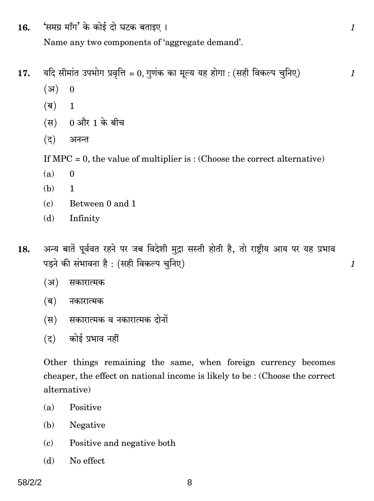'समग्र माँग' के कोई दो घटक बताइए। 16. Name any two components of 'aggregate demand'.

यदि सीमांत उपभोग प्रवृत्ति = 0, गुणंक का मूल्य यह होगा : (सही विकल्प चुनिए) 17.

- $(3)$  $\mathbf{0}$
- (ब)  $\mathbf{1}$
- 0 और 1 के बीच  $(\overline{H})$
- $(5)$ अनन्त

If  $MPC = 0$ , the value of multiplier is: (Choose the correct alternative)

- $(a)$  $\theta$
- (b)  $\mathbf{1}$
- Between 0 and 1  $(c)$
- $(d)$ Infinity
- अन्य बातें पूर्ववत रहने पर जब विदेशी मुद्रा सस्ती होती है, तो राष्टीय आय पर यह प्रभाव 18. पड़ने की संभावना है : (सही विकल्प चुनिए)
	- $(3)$ सकारात्मक
	- (ब) नकारात्मक
	- (स) सकारात्मक व नकारात्मक दोनों
	- (द) कोई प्रभाव नहीं

Other things remaining the same, when foreign currency becomes cheaper, the effect on national income is likely to be: (Choose the correct alternative)

- Positive  $(a)$
- (b) Negative
- Positive and negative both  $(c)$
- (d) No effect

 $\mathcal{I}_{\mathcal{L}}$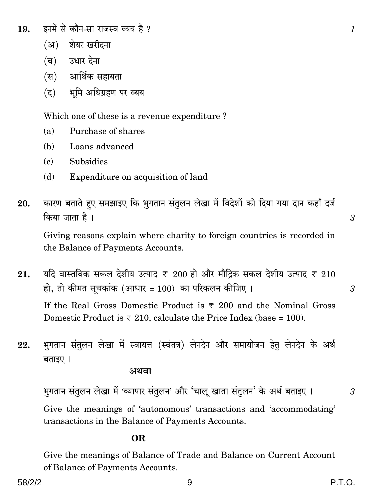- इनमें से कौन-सा राजस्व व्यय है ? 19.
	- (अ) शेयर खरीदना
	- (ब) उधार देना
	- (स) आर्थिक सहायता
	- (द) भूमि अधिग्रहण पर व्यय

Which one of these is a revenue expenditure?

- Purchase of shares  $(a)$
- $(h)$ Loans advanced
- **Subsidies**  $\mathbf{c}$
- Expenditure on acquisition of land  $(d)$
- कारण बताते हुए समझाइए कि भुगतान संतुलन लेखा में विदेशों को दिया गया दान कहाँ दर्ज 20. किया जाता है।

Giving reasons explain where charity to foreign countries is recorded in the Balance of Payments Accounts.

- यदि वास्तविक सकल देशीय उत्पाद ₹ 200 हो और मौद्रिक सकल देशीय उत्पाद ₹ 210 21. हो, तो कीमत सूचकांक (आधार = 100) का परिकलन कीजिए।  $\mathcal{S}$ If the Real Gross Domestic Product is  $\overline{x}$  200 and the Nominal Gross Domestic Product is  $\overline{\tau}$  210, calculate the Price Index (base = 100).
- भुगतान संतुलन लेखा में स्वायत्त (स्वंतत्र) लेनदेन और समायोजन हेतु लेनदेन के अर्थ 22. बताइए।

अथवा

भगतान संतुलन लेखा में 'व्यापार संतुलन' और 'चालु खाता संतुलन' के अर्थ बताइए । Give the meanings of 'autonomous' transactions and 'accommodating' transactions in the Balance of Payments Accounts.

#### **OR**

Give the meanings of Balance of Trade and Balance on Current Account of Balance of Payments Accounts.

 $\mathcal{S}$ 

 $\mathcal{I}_{\mathcal{L}}$ 

 $\mathcal{S}$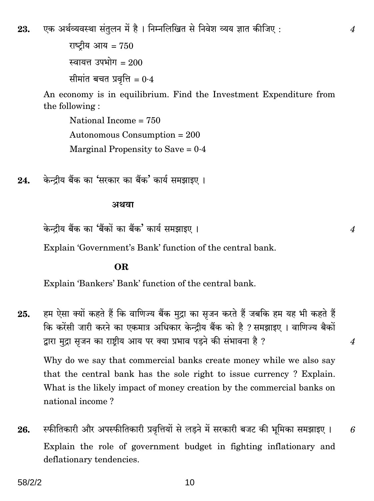एक अर्थव्यवस्था संतुलन में है। निम्नलिखित से निवेश व्यय ज्ञात कीजिए : 23.

> राष्टीय आय =  $750$ स्वायत्त उपभोग $= 200$ सीमांत बचत प्रवृत्ति =  $0.4$

An economy is in equilibrium. Find the Investment Expenditure from the following:

National Income  $= 750$ Autonomous Consumption =  $200$ Marginal Propensity to Save =  $0.4$ 

केन्द्रीय बैंक का 'सरकार का बैंक' कार्य समझाइए। 24.

#### अथवा

केन्टीय बैंक का 'बैंकों का बैंक' कार्य समझाइए ।

Explain 'Government's Bank' function of the central bank.

#### OR.

Explain 'Bankers' Bank' function of the central bank.

हम ऐसा क्यों कहते हैं कि वाणिज्य बैंक मुद्रा का सृजन करते हैं जबकि हम यह भी कहते हैं 25. कि करेंसी जारी करने का एकमात्र अधिकार केन्द्रीय बैंक को है ? समझाइए । वाणिज्य बैकों द्वारा मुद्रा सृजन का राष्ट्रीय आय पर क्या प्रभाव पड़ने की संभावना है ?

Why do we say that commercial banks create money while we also say that the central bank has the sole right to issue currency? Explain. What is the likely impact of money creation by the commercial banks on national income?

स्फीतिकारी और अपस्फीतिकारी प्रवृत्तियों से लड़ने में सरकारी बजट की भूमिका समझाइए । 26. 6 Explain the role of government budget in fighting inflationary and deflationary tendencies.

 $\overline{4}$ 

 $\boldsymbol{4}$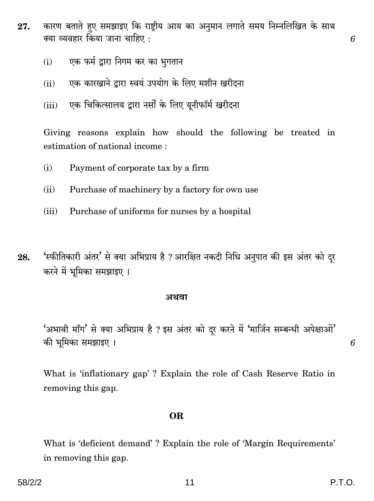- कारण बताते हुए समझाइए कि राष्ट्रीय आय का अनुमान लगाते समय निम्नलिखित के साथ 27. क्या व्यवहार किया जाना चाहिए :
	- एक फर्म द्वारा निगम कर का भुगतान  $(i)$
	- एक कारखाने द्वारा स्वयं उपयोग के लिए मशीन खरीदना  $(ii)$
	- एक चिकित्सालय द्वारा नर्सों के लिए यूनीफॉर्म खरीदना  $(iii)$

Giving reasons explain how should the following be treated in estimation of national income:

- Payment of corporate tax by a firm  $(i)$
- $(ii)$ Purchase of machinery by a factory for own use
- $(iii)$ Purchase of uniforms for nurses by a hospital
- 'स्फीतिकारी अंतर' से क्या अभिप्राय है ? आरक्षित नकदी निधि अनुपात की इस अंतर को दूर 28. करने में भूमिका समझाइए ।

#### अथवा

'अभावी माँग' से क्या अभिप्राय है ? इस अंतर को दर करने में 'मार्जिन सम्बन्धी अपेक्षाओं' की भूमिका समझाइए ।

What is 'inflationary gap'? Explain the role of Cash Reserve Ratio in removing this gap.

#### **OR**

What is 'deficient demand'? Explain the role of 'Margin Requirements' in removing this gap.

6

6